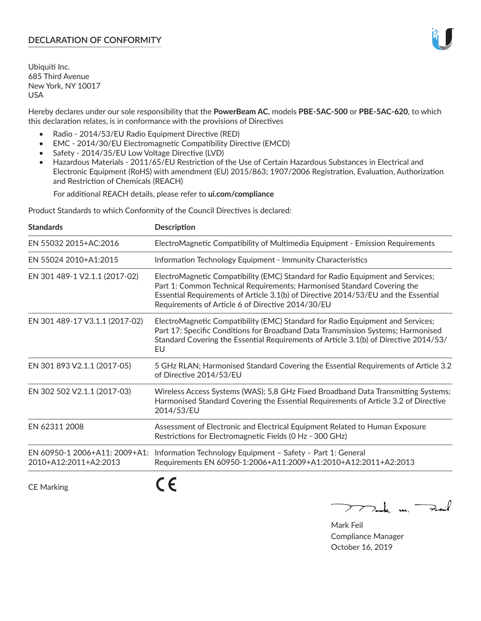## **DECLARATION OF CONFORMITY**

Ubiquiti Inc. 685 Third Avenue New York, NY 10017 USA

Hereby declares under our sole responsibility that the **PowerBeam AC**, models **PBE‑5AC‑500** or **PBE‑5AC‑620**, to which this declaration relates, is in conformance with the provisions of Directives

- Radio 2014/53/EU Radio Equipment Directive (RED)
- EMC 2014/30/EU Electromagnetic Compatibility Directive (EMCD)
- Safety 2014/35/EU Low Voltage Directive (LVD)
- Hazardous Materials 2011/65/EU Restriction of the Use of Certain Hazardous Substances in Electrical and Electronic Equipment (RoHS) with amendment (EU) 2015/863; 1907/2006 Registration, Evaluation, Authorization and Restriction of Chemicals (REACH)

For additional REACH details, please refer to **ui.com/compliance**

Product Standards to which Conformity of the Council Directives is declared:

| <b>Standards</b>                                       | <b>Description</b>                                                                                                                                                                                                                                                                                   |
|--------------------------------------------------------|------------------------------------------------------------------------------------------------------------------------------------------------------------------------------------------------------------------------------------------------------------------------------------------------------|
| EN 55032 2015+AC:2016                                  | ElectroMagnetic Compatibility of Multimedia Equipment - Emission Requirements                                                                                                                                                                                                                        |
| EN 55024 2010+A1:2015                                  | Information Technology Equipment - Immunity Characteristics                                                                                                                                                                                                                                          |
| EN 301 489-1 V2.1.1 (2017-02)                          | ElectroMagnetic Compatibility (EMC) Standard for Radio Equipment and Services;<br>Part 1: Common Technical Requirements; Harmonised Standard Covering the<br>Essential Requirements of Article 3.1(b) of Directive 2014/53/EU and the Essential<br>Requirements of Article 6 of Directive 2014/30/EU |
| EN 301 489-17 V3.1.1 (2017-02)                         | ElectroMagnetic Compatibility (EMC) Standard for Radio Equipment and Services;<br>Part 17: Specific Conditions for Broadband Data Transmission Systems; Harmonised<br>Standard Covering the Essential Requirements of Article 3.1(b) of Directive 2014/53/<br>EU                                     |
| EN 301 893 V2.1.1 (2017-05)                            | 5 GHz RLAN; Harmonised Standard Covering the Essential Requirements of Article 3.2<br>of Directive 2014/53/EU                                                                                                                                                                                        |
| EN 302 502 V2.1.1 (2017-03)                            | Wireless Access Systems (WAS); 5,8 GHz Fixed Broadband Data Transmitting Systems;<br>Harmonised Standard Covering the Essential Requirements of Article 3.2 of Directive<br>2014/53/EU                                                                                                               |
| EN 62311 2008                                          | Assessment of Electronic and Electrical Equipment Related to Human Exposure<br>Restrictions for Electromagnetic Fields (0 Hz - 300 GHz)                                                                                                                                                              |
| EN 60950-1 2006+A11: 2009+A1:<br>2010+A12:2011+A2:2013 | Information Technology Equipment - Safety - Part 1: General<br>Requirements EN 60950-1:2006+A11:2009+A1:2010+A12:2011+A2:2013                                                                                                                                                                        |
|                                                        |                                                                                                                                                                                                                                                                                                      |

CE Marking

C C

 $772$ ak m. Fail

Mark Feil Compliance Manager October 16, 2019

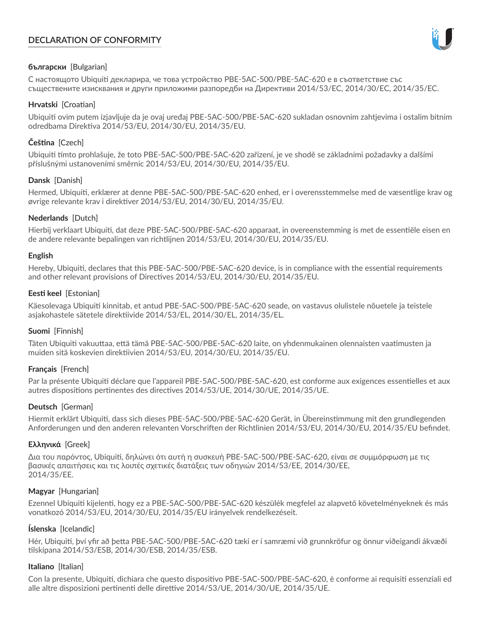# **DECLARATION OF CONFORMITY**



## **български** [Bulgarian]

С настоящото Ubiquiti декларира, че това устройство PBE-5AC-500/PBE-5AC-620 е в съответствие със съществените изисквания и други приложими разпоредби на Директиви 2014/53/EC, 2014/30/ЕС, 2014/35/ЕС.

## **Hrvatski** [Croatian]

Ubiquiti ovim putem izjavljuje da je ovaj uređaj PBE-5AC-500/PBE-5AC-620 sukladan osnovnim zahtjevima i ostalim bitnim odredbama Direktiva 2014/53/EU, 2014/30/EU, 2014/35/EU.

# **Čeština** [Czech]

Ubiquiti tímto prohlašuje, že toto PBE-5AC-500/PBE-5AC-620 zařízení, je ve shodě se základními požadavky a dalšími příslušnými ustanoveními směrnic 2014/53/EU, 2014/30/EU, 2014/35/EU.

## **Dansk** [Danish]

Hermed, Ubiquiti, erklærer at denne PBE-5AC-500/PBE-5AC-620 enhed, er i overensstemmelse med de væsentlige krav og øvrige relevante krav i direktiver 2014/53/EU, 2014/30/EU, 2014/35/EU.

## **Nederlands** [Dutch]

Hierbij verklaart Ubiquiti, dat deze PBE-5AC-500/PBE-5AC-620 apparaat, in overeenstemming is met de essentiële eisen en de andere relevante bepalingen van richtlijnen 2014/53/EU, 2014/30/EU, 2014/35/EU.

## **English**

Hereby, Ubiquiti, declares that this PBE-5AC-500/PBE-5AC-620 device, is in compliance with the essential requirements and other relevant provisions of Directives 2014/53/EU, 2014/30/EU, 2014/35/EU.

## **Eesti keel** [Estonian]

Käesolevaga Ubiquiti kinnitab, et antud PBE-5AC-500/PBE-5AC-620 seade, on vastavus olulistele nõuetele ja teistele asjakohastele sätetele direktiivide 2014/53/EL, 2014/30/EL, 2014/35/EL.

# **Suomi** [Finnish]

Täten Ubiquiti vakuuttaa, että tämä PBE-5AC-500/PBE-5AC-620 laite, on yhdenmukainen olennaisten vaatimusten ja muiden sitä koskevien direktiivien 2014/53/EU, 2014/30/EU, 2014/35/EU.

# **Français** [French]

Par la présente Ubiquiti déclare que l'appareil PBE-5AC-500/PBE-5AC-620, est conforme aux exigences essentielles et aux autres dispositions pertinentes des directives 2014/53/UE, 2014/30/UE, 2014/35/UE.

# **Deutsch** [German]

Hiermit erklärt Ubiquiti, dass sich dieses PBE-5AC-500/PBE-5AC-620 Gerät, in Übereinstimmung mit den grundlegenden Anforderungen und den anderen relevanten Vorschriften der Richtlinien 2014/53/EU, 2014/30/EU, 2014/35/EU befindet.

## **Ελληνικά** [Greek]

Δια του παρόντος, Ubiquiti, δηλώνει ότι αυτή η συσκευή PBE-5AC-500/PBE-5AC-620, είναι σε συμμόρφωση με τις βασικές απαιτήσεις και τις λοιπές σχετικές διατάξεις των οδηγιών 2014/53/EE, 2014/30/EE, 2014/35/EE.

## **Magyar** [Hungarian]

Ezennel Ubiquiti kijelenti, hogy ez a PBE-5AC-500/PBE-5AC-620 készülék megfelel az alapvető követelményeknek és más vonatkozó 2014/53/EU, 2014/30/EU, 2014/35/EU irányelvek rendelkezéseit.

## **Íslenska** [Icelandic]

Hér, Ubiquiti, því yfir að þetta PBE-5AC-500/PBE-5AC-620 tæki er í samræmi við grunnkröfur og önnur viðeigandi ákvæði tilskipana 2014/53/ESB, 2014/30/ESB, 2014/35/ESB.

## **Italiano** [Italian]

Con la presente, Ubiquiti, dichiara che questo dispositivo PBE-5AC-500/PBE-5AC-620, è conforme ai requisiti essenziali ed alle altre disposizioni pertinenti delle direttive 2014/53/UE, 2014/30/UE, 2014/35/UE.